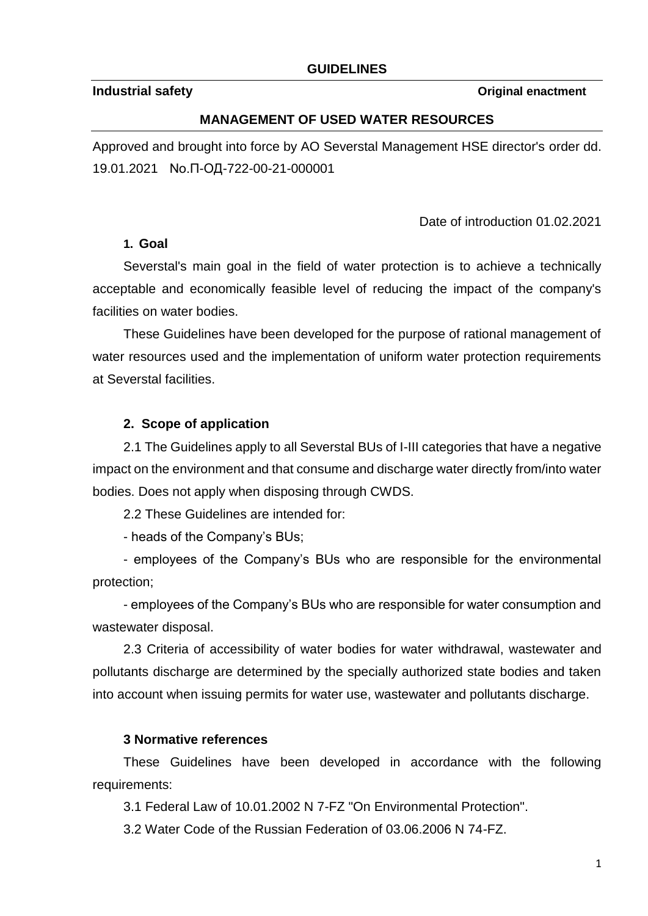### **GUIDELINES**

#### **Industrial safety** *Constitution <b>Constitution Constitution Constitution Constitution <i>Constitution Constitution Constitution Constitution Constitution Constitution Constitution Constitution Constitution Constitu*

#### **MANAGEMENT OF USED WATER RESOURCES**

Approved and brought into force by AO Severstal Management HSE director's order dd. 19.01.2021 No.П-ОД-722-00-21-000001

Date of introduction 01.02.2021

#### **1. Goal**

Severstal's main goal in the field of water protection is to achieve a technically acceptable and economically feasible level of reducing the impact of the company's facilities on water bodies.

These Guidelines have been developed for the purpose of rational management of water resources used and the implementation of uniform water protection requirements at Severstal facilities.

### **2. Scope of application**

2.1 The Guidelines apply to all Severstal BUs of I-III categories that have a negative impact on the environment and that consume and discharge water directly from/into water bodies. Does not apply when disposing through CWDS.

2.2 These Guidelines are intended for:

- heads of the Company's BUs;

- employees of the Company's BUs who are responsible for the environmental protection;

- employees of the Company's BUs who are responsible for water consumption and wastewater disposal.

2.3 Criteria of accessibility of water bodies for water withdrawal, wastewater and pollutants discharge are determined by the specially authorized state bodies and taken into account when issuing permits for water use, wastewater and pollutants discharge.

### **3 Normative references**

These Guidelines have been developed in accordance with the following requirements:

3.1 Federal Law of 10.01.2002 N 7-FZ "On Environmental Protection".

3.2 Water Code of the Russian Federation of 03.06.2006 N 74-FZ.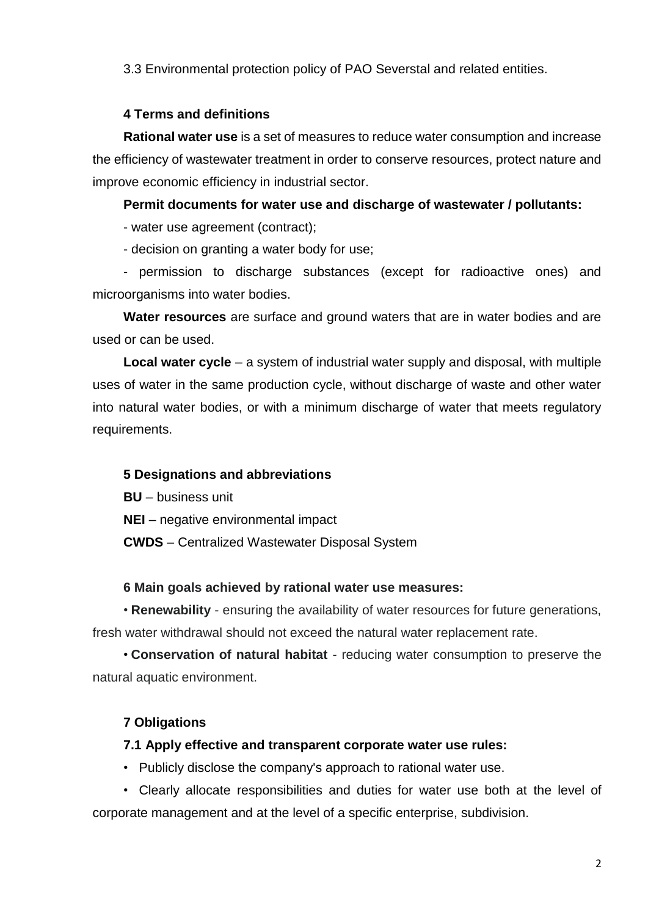3.3 Environmental protection policy of PAO Severstal and related entities.

### **4 Terms and definitions**

**Rational water use** is a set of measures to reduce water consumption and increase the efficiency of wastewater treatment in order to conserve resources, protect nature and improve economic efficiency in industrial sector.

**Permit documents for water use and discharge of wastewater / pollutants:**

- water use agreement (contract);

- decision on granting a water body for use;

- permission to discharge substances (except for radioactive ones) and microorganisms into water bodies.

**Water resources** are surface and ground waters that are in water bodies and are used or can be used.

**Local water cycle** – a system of industrial water supply and disposal, with multiple uses of water in the same production cycle, without discharge of waste and other water into natural water bodies, or with a minimum discharge of water that meets regulatory requirements.

## **5 Designations and abbreviations**

**BU** – business unit

**NEI** – negative environmental impact

**CWDS** – Centralized Wastewater Disposal System

## **6 Main goals achieved by rational water use measures:**

• **Renewability** - ensuring the availability of water resources for future generations, fresh water withdrawal should not exceed the natural water replacement rate.

• **Conservation of natural habitat** - reducing water consumption to preserve the natural aquatic environment.

# **7 Obligations**

## **7.1 Apply effective and transparent corporate water use rules:**

• Publicly disclose the company's approach to rational water use.

• Clearly allocate responsibilities and duties for water use both at the level of corporate management and at the level of a specific enterprise, subdivision.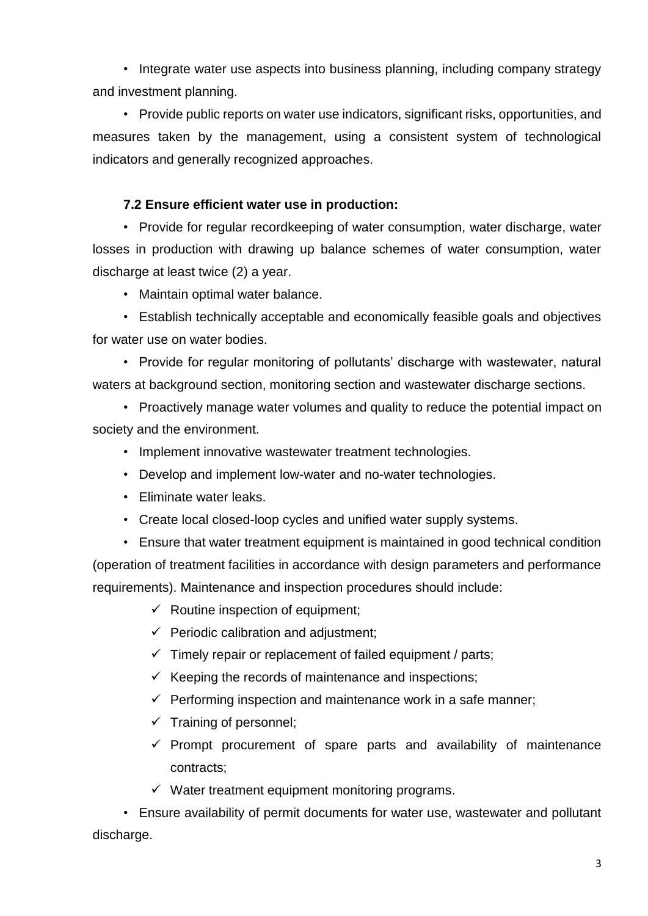• Integrate water use aspects into business planning, including company strategy and investment planning.

• Provide public reports on water use indicators, significant risks, opportunities, and measures taken by the management, using a consistent system of technological indicators and generally recognized approaches.

### **7.2 Ensure efficient water use in production:**

• Provide for regular recordkeeping of water consumption, water discharge, water losses in production with drawing up balance schemes of water consumption, water discharge at least twice (2) a year.

• Maintain optimal water balance.

• Establish technically acceptable and economically feasible goals and objectives for water use on water bodies.

• Provide for regular monitoring of pollutants' discharge with wastewater, natural waters at background section, monitoring section and wastewater discharge sections.

• Proactively manage water volumes and quality to reduce the potential impact on society and the environment.

- Implement innovative wastewater treatment technologies.
- Develop and implement low-water and no-water technologies.
- Eliminate water leaks.
- Create local closed-loop cycles and unified water supply systems.

• Ensure that water treatment equipment is maintained in good technical condition (operation of treatment facilities in accordance with design parameters and performance requirements). Maintenance and inspection procedures should include:

- $\checkmark$  Routine inspection of equipment;
- $\checkmark$  Periodic calibration and adjustment;
- $\checkmark$  Timely repair or replacement of failed equipment / parts;
- $\checkmark$  Keeping the records of maintenance and inspections;
- $\checkmark$  Performing inspection and maintenance work in a safe manner;
- $\checkmark$  Training of personnel:
- $\checkmark$  Prompt procurement of spare parts and availability of maintenance contracts;
- $\checkmark$  Water treatment equipment monitoring programs.

• Ensure availability of permit documents for water use, wastewater and pollutant discharge.